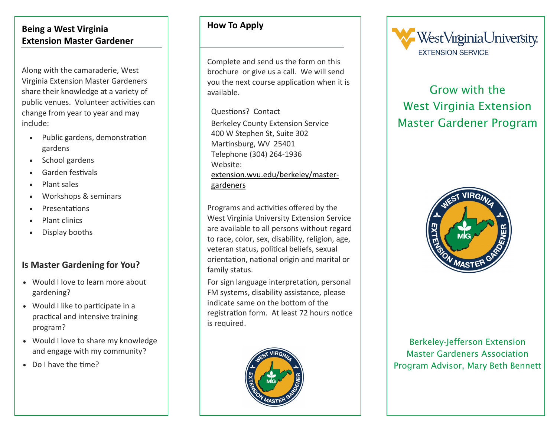#### **Being a West Virginia Extension Master Gardener**

Along with the camaraderie, West Virginia Extension Master Gardeners share their knowledge at a variety of public venues. Volunteer activities can change from year to year and may include:

- Public gardens, demonstration gardens
- School gardens
- Garden festivals
- Plant sales
- Workshops & seminars
- Presentations
- Plant clinics
- Display booths

# **Is Master Gardening for You?**

- Would I love to learn more about gardening?
- Would I like to participate in a practical and intensive training program?
- Would I love to share my knowledge and engage with my community?
- Do I have the time?

# **How To Apply**

Complete and send us the form on this brochure or give us a call. We will send you the next course application when it is available.

Questions? Contact Berkeley County Extension Service 400 W Stephen St, Suite 302 Martinsburg, WV 25401 Telephone (304) 264-1936 Website: [extension.wvu.edu/berkeley/master](http://extension.wvu.edu/berkeley/master-gardeners)[gardeners](http://extension.wvu.edu/berkeley/master-gardeners)

Programs and activities offered by the West Virginia University Extension Service are available to all persons without regard to race, color, sex, disability, religion, age, veteran status, political beliefs, sexual orientation, national origin and marital or family status.

For sign language interpretation, personal FM systems, disability assistance, please indicate same on the bottom of the registration form. At least 72 hours notice is required.





# Grow with the West Virginia Extension Master Gardener Program



Berkeley-Jefferson Extension Master Gardeners Association Program Advisor, Mary Beth Bennett